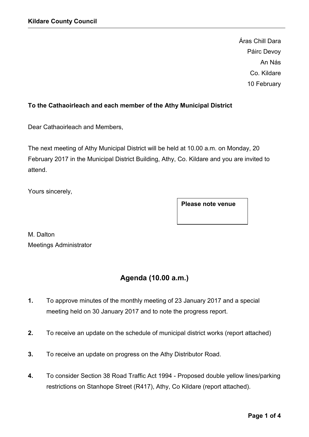Áras Chill Dara Páirc Devoy An Nás Co. Kildare 10 February

# To the Cathaoirleach and each member of the Athy Municipal District

Dear Cathaoirleach and Members,

The next meeting of Athy Municipal District will be held at 10.00 a.m. on Monday, 20 February 2017 in the Municipal District Building, Athy, Co. Kildare and you are invited to attend.

Yours sincerely,

Please note venue

M. Dalton Meetings Administrator

# Agenda (10.00 a.m.)

- 1. To approve minutes of the monthly meeting of 23 January 2017 and a special meeting held on 30 January 2017 and to note the progress report.
- 2. To receive an update on the schedule of municipal district works (report attached)
- 3. To receive an update on progress on the Athy Distributor Road.
- 4. To consider Section 38 Road Traffic Act 1994 Proposed double yellow lines/parking restrictions on Stanhope Street (R417), Athy, Co Kildare (report attached).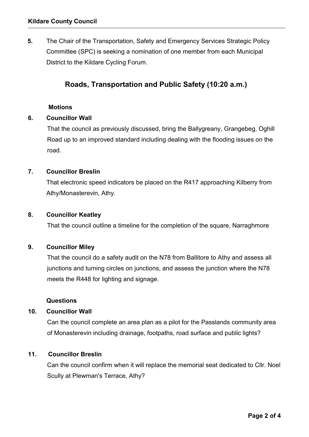5. The Chair of the Transportation, Safety and Emergency Services Strategic Policy Committee (SPC) is seeking a nomination of one member from each Municipal District to the Kildare Cycling Forum.

# Roads, Transportation and Public Safety (10:20 a.m.)

#### **Motions**

#### 6. Councillor Wall

That the council as previously discussed, bring the Ballygreany, Grangebeg, Oghill Road up to an improved standard including dealing with the flooding issues on the road.

#### 7. Councillor Breslin

That electronic speed indicators be placed on the R417 approaching Kilberry from Athy/Monasterevin, Athy.

#### 8. Councillor Keatley

That the council outline a timeline for the completion of the square, Narraghmore

#### 9. Councillor Miley

That the council do a safety audit on the N78 from Ballitore to Athy and assess all junctions and turning circles on junctions, and assess the junction where the N78 meets the R448 for lighting and signage.

#### Questions

# 10. Councillor Wall

Can the council complete an area plan as a pilot for the Passlands community area of Monasterevin including drainage, footpaths, road surface and public lights?

#### 11. Councillor Breslin

Can the council confirm when it will replace the memorial seat dedicated to Cllr. Noel Scully at Plewman's Terrace, Athy?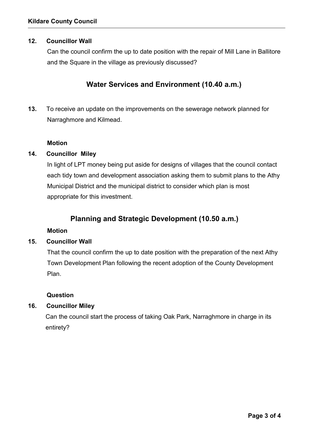## 12. Councillor Wall

Can the council confirm the up to date position with the repair of Mill Lane in Ballitore and the Square in the village as previously discussed?

# Water Services and Environment (10.40 a.m.)

13. To receive an update on the improvements on the sewerage network planned for Narraghmore and Kilmead.

#### Motion

#### 14. Councillor Miley

In light of LPT money being put aside for designs of villages that the council contact each tidy town and development association asking them to submit plans to the Athy Municipal District and the municipal district to consider which plan is most appropriate for this investment.

# Planning and Strategic Development (10.50 a.m.)

#### Motion

### 15. Councillor Wall

That the council confirm the up to date position with the preparation of the next Athy Town Development Plan following the recent adoption of the County Development Plan.

#### Question

## 16. Councillor Miley

Can the council start the process of taking Oak Park, Narraghmore in charge in its entirety?